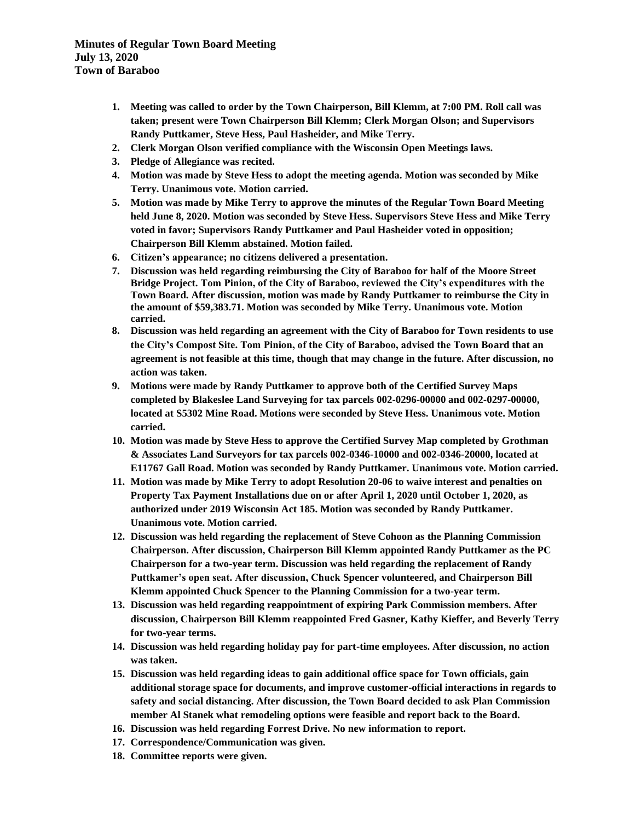**Minutes of Regular Town Board Meeting July 13, 2020 Town of Baraboo**

- **1. Meeting was called to order by the Town Chairperson, Bill Klemm, at 7:00 PM. Roll call was taken; present were Town Chairperson Bill Klemm; Clerk Morgan Olson; and Supervisors Randy Puttkamer, Steve Hess, Paul Hasheider, and Mike Terry.**
- **2. Clerk Morgan Olson verified compliance with the Wisconsin Open Meetings laws.**
- **3. Pledge of Allegiance was recited.**
- **4. Motion was made by Steve Hess to adopt the meeting agenda. Motion was seconded by Mike Terry. Unanimous vote. Motion carried.**
- **5. Motion was made by Mike Terry to approve the minutes of the Regular Town Board Meeting held June 8, 2020. Motion was seconded by Steve Hess. Supervisors Steve Hess and Mike Terry voted in favor; Supervisors Randy Puttkamer and Paul Hasheider voted in opposition; Chairperson Bill Klemm abstained. Motion failed.**
- **6. Citizen's appearance; no citizens delivered a presentation.**
- **7. Discussion was held regarding reimbursing the City of Baraboo for half of the Moore Street Bridge Project. Tom Pinion, of the City of Baraboo, reviewed the City's expenditures with the Town Board. After discussion, motion was made by Randy Puttkamer to reimburse the City in the amount of \$59,383.71. Motion was seconded by Mike Terry. Unanimous vote. Motion carried.**
- **8. Discussion was held regarding an agreement with the City of Baraboo for Town residents to use the City's Compost Site. Tom Pinion, of the City of Baraboo, advised the Town Board that an agreement is not feasible at this time, though that may change in the future. After discussion, no action was taken.**
- **9. Motions were made by Randy Puttkamer to approve both of the Certified Survey Maps completed by Blakeslee Land Surveying for tax parcels 002-0296-00000 and 002-0297-00000, located at S5302 Mine Road. Motions were seconded by Steve Hess. Unanimous vote. Motion carried.**
- **10. Motion was made by Steve Hess to approve the Certified Survey Map completed by Grothman & Associates Land Surveyors for tax parcels 002-0346-10000 and 002-0346-20000, located at E11767 Gall Road. Motion was seconded by Randy Puttkamer. Unanimous vote. Motion carried.**
- **11. Motion was made by Mike Terry to adopt Resolution 20-06 to waive interest and penalties on Property Tax Payment Installations due on or after April 1, 2020 until October 1, 2020, as authorized under 2019 Wisconsin Act 185. Motion was seconded by Randy Puttkamer. Unanimous vote. Motion carried.**
- **12. Discussion was held regarding the replacement of Steve Cohoon as the Planning Commission Chairperson. After discussion, Chairperson Bill Klemm appointed Randy Puttkamer as the PC Chairperson for a two-year term. Discussion was held regarding the replacement of Randy Puttkamer's open seat. After discussion, Chuck Spencer volunteered, and Chairperson Bill Klemm appointed Chuck Spencer to the Planning Commission for a two-year term.**
- **13. Discussion was held regarding reappointment of expiring Park Commission members. After discussion, Chairperson Bill Klemm reappointed Fred Gasner, Kathy Kieffer, and Beverly Terry for two-year terms.**
- **14. Discussion was held regarding holiday pay for part-time employees. After discussion, no action was taken.**
- **15. Discussion was held regarding ideas to gain additional office space for Town officials, gain additional storage space for documents, and improve customer-official interactions in regards to safety and social distancing. After discussion, the Town Board decided to ask Plan Commission member Al Stanek what remodeling options were feasible and report back to the Board.**
- **16. Discussion was held regarding Forrest Drive. No new information to report.**
- **17. Correspondence/Communication was given.**
- **18. Committee reports were given.**